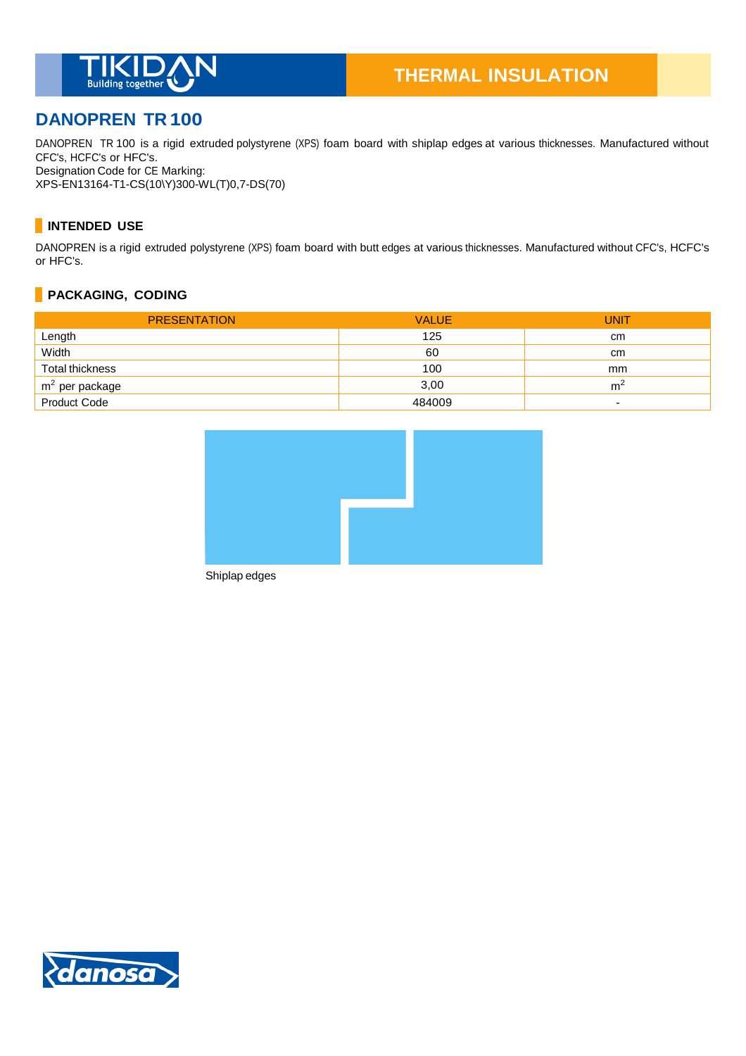

# **DANOPREN TR 100**

DANOPREN TR 100 is a rigid extruded polystyrene (XPS) foam board with shiplap edges at various thicknesses. Manufactured without CFC's, HCFC's or HFC's. Designation Code for CE Marking: XPS-EN13164-T1-CS(10\Y)300-WL(T)0,7-DS(70)

### **INTENDED USE**

DANOPREN is a rigid extruded polystyrene (XPS) foam board with butt edges at various thicknesses. Manufactured without CFC's, HCFC's or HFC's.

## **PACKAGING, CODING**

| <b>PRESENTATION</b> | <b>VALUE</b> | <b>UNIT</b>    |
|---------------------|--------------|----------------|
| Length              | 125          | cm             |
| Width               | 60           | cm             |
| Total thickness     | 100          | mm             |
| $m2$ per package    | 3,00         | m <sup>2</sup> |
| Product Code        | 484009       | -              |



Shiplap edges

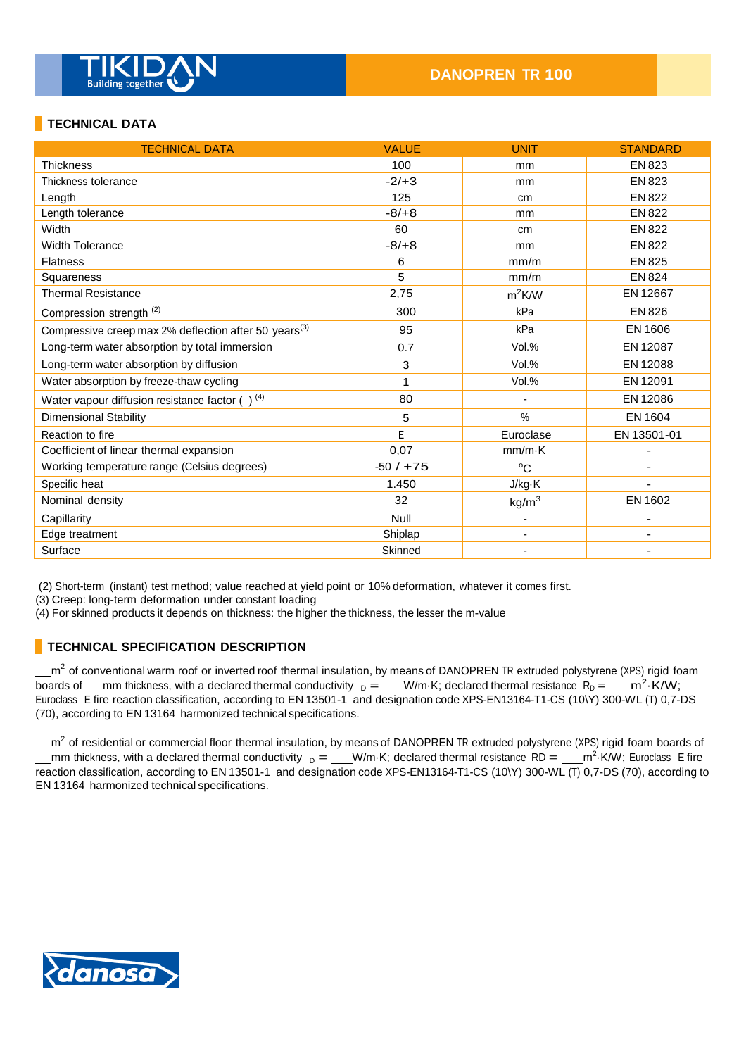

### **TECHNICAL DATA**

| <b>TECHNICAL DATA</b>                                             | <b>VALUE</b> | <b>UNIT</b>       | <b>STANDARD</b> |
|-------------------------------------------------------------------|--------------|-------------------|-----------------|
| <b>Thickness</b>                                                  | 100          | mm                | EN 823          |
| Thickness tolerance                                               | $-2/+3$      | mm                | EN 823          |
| Length                                                            | 125          | cm                | <b>EN 822</b>   |
| Length tolerance                                                  | $-8/ +8$     | mm                | <b>EN 822</b>   |
| Width                                                             | 60           | cm                | <b>EN 822</b>   |
| <b>Width Tolerance</b>                                            | $-8/ +8$     | mm                | <b>EN 822</b>   |
| <b>Flatness</b>                                                   | 6            | mm/m              | <b>EN 825</b>   |
| Squareness                                                        | 5            | mm/m              | <b>EN 824</b>   |
| <b>Thermal Resistance</b>                                         | 2,75         | $m^2$ K/W         | EN 12667        |
| Compression strength <sup>(2)</sup>                               | 300          | kPa               | <b>EN 826</b>   |
| Compressive creep max 2% deflection after 50 years <sup>(3)</sup> | 95           | kPa               | EN 1606         |
| Long-term water absorption by total immersion                     | 0.7          | Vol.%             | EN 12087        |
| Long-term water absorption by diffusion                           | 3            | Vol.%             | EN 12088        |
| Water absorption by freeze-thaw cycling                           | 1            | Vol.%             | EN 12091        |
| Water vapour diffusion resistance factor $( )^{(4)}$              | 80           | $\blacksquare$    | EN 12086        |
| <b>Dimensional Stability</b>                                      | 5            | %                 | EN 1604         |
| Reaction to fire                                                  | E            | Euroclase         | EN 13501-01     |
| Coefficient of linear thermal expansion                           | 0,07         | mm/m·K            |                 |
| Working temperature range (Celsius degrees)                       | $-50/ + 75$  | $^{\circ}C$       |                 |
| Specific heat                                                     | 1.450        | J/kg·K            |                 |
| Nominal density                                                   | 32           | kg/m <sup>3</sup> | EN 1602         |
| Capillarity                                                       | Null         | $\overline{a}$    |                 |
| Edge treatment                                                    | Shiplap      | $\blacksquare$    | ۰               |
| Surface                                                           | Skinned      |                   |                 |

(2) Short-term (instant) test method; value reached at yield point or 10% deformation, whatever it comes first.

(3) Creep: long-term deformation under constant loading

(4) For skinned products it depends on thickness: the higher the thickness, the lesser the m-value

#### **TECHNICAL SPECIFICATION DESCRIPTION**

m<sup>2</sup> of conventional warm roof or inverted roof thermal insulation, by means of DANOPREN TR extruded polystyrene (XPS) rigid foam boards of \_\_mm thickness, with a declared thermal conductivity  $_D =$  \_\_W/m·K; declared thermal resistance  $R_D =$  \_\_m<sup>2</sup>·K/W; Euroclass E fire reaction classification, according to EN 13501-1 and designation code XPS-EN13164-T1-CS (10\Y) 300-WL (T) 0,7-DS (70), according to EN 13164 harmonized technical specifications.

m<sup>2</sup> of residential or commercial floor thermal insulation, by means of DANOPREN TR extruded polystyrene (XPS) rigid foam boards of mm thickness, with a declared thermal conductivity  $_D =$  W/m·K; declared thermal resistance RD =  $\text{m}^2$ ·K/W; Euroclass E fire reaction classification, according to EN 13501-1 and designation code XPS-EN13164-T1-CS (10\Y) 300-WL (T) 0,7-DS (70), according to EN 13164 harmonized technical specifications.

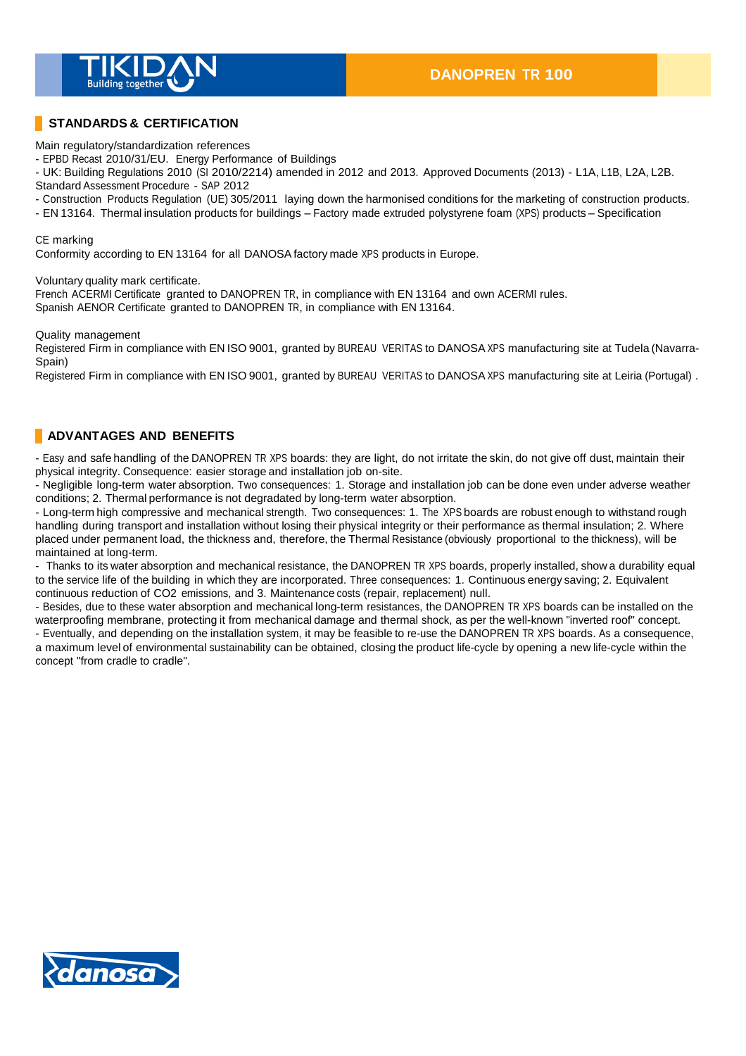

### **STANDARDS & CERTIFICATION**

Main regulatory/standardization references

- EPBD Recast 2010/31/EU. Energy Performance of Buildings

- UK: Building Regulations 2010 (SI 2010/2214) amended in 2012 and 2013. Approved Documents (2013) - L1A, L1B, L2A, L2B. Standard Assessment Procedure - SAP 2012

- Construction Products Regulation (UE) 305/2011 laying down the harmonised conditions for the marketing of construction products.

- EN 13164. Thermal insulation products for buildings – Factory made extruded polystyrene foam (XPS) products – Specification

#### CE marking

Conformity according to EN 13164 for all DANOSA factory made XPS products in Europe.

Voluntary quality mark certificate.

French ACERMI Certificate granted to DANOPREN TR, in compliance with EN 13164 and own ACERMI rules. Spanish AENOR Certificate granted to DANOPREN TR, in compliance with EN 13164.

Quality management

Registered Firm in compliance with EN ISO 9001, granted by BUREAU VERITAS to DANOSA XPS manufacturing site at Tudela (Navarra-Spain)

Registered Firm in compliance with EN ISO 9001, granted by BUREAU VERITAS to DANOSA XPS manufacturing site at Leiria (Portugal) .

#### **ADVANTAGES AND BENEFITS**

- Easy and safe handling of the DANOPREN TR XPS boards: they are light, do not irritate the skin, do not give off dust, maintain their physical integrity. Consequence: easier storage and installation job on-site.

- Negligible long-term water absorption. Two consequences: 1. Storage and installation job can be done even under adverse weather conditions; 2. Thermal performance is not degradated by long-term water absorption.

- Long-term high compressive and mechanical strength. Two consequences: 1. The XPS boards are robust enough to withstand rough handling during transport and installation without losing their physical integrity or their performance as thermal insulation; 2. Where placed under permanent load, the thickness and, therefore, the Thermal Resistance (obviously proportional to the thickness), will be maintained at long-term.

- Thanks to its water absorption and mechanical resistance, the DANOPREN TR XPS boards, properly installed, show a durability equal to the service life of the building in which they are incorporated. Three consequences: 1. Continuous energy saving; 2. Equivalent continuous reduction of CO2 emissions, and 3. Maintenance costs (repair, replacement) null.

- Besides, due to these water absorption and mechanical long-term resistances, the DANOPREN TR XPS boards can be installed on the waterproofing membrane, protecting it from mechanical damage and thermal shock, as per the well-known "inverted roof" concept. - Eventually, and depending on the installation system, it may be feasible to re-use the DANOPREN TR XPS boards. As a consequence,

a maximum level of environmental sustainability can be obtained, closing the product life-cycle by opening a new life-cycle within the concept "from cradle to cradle".

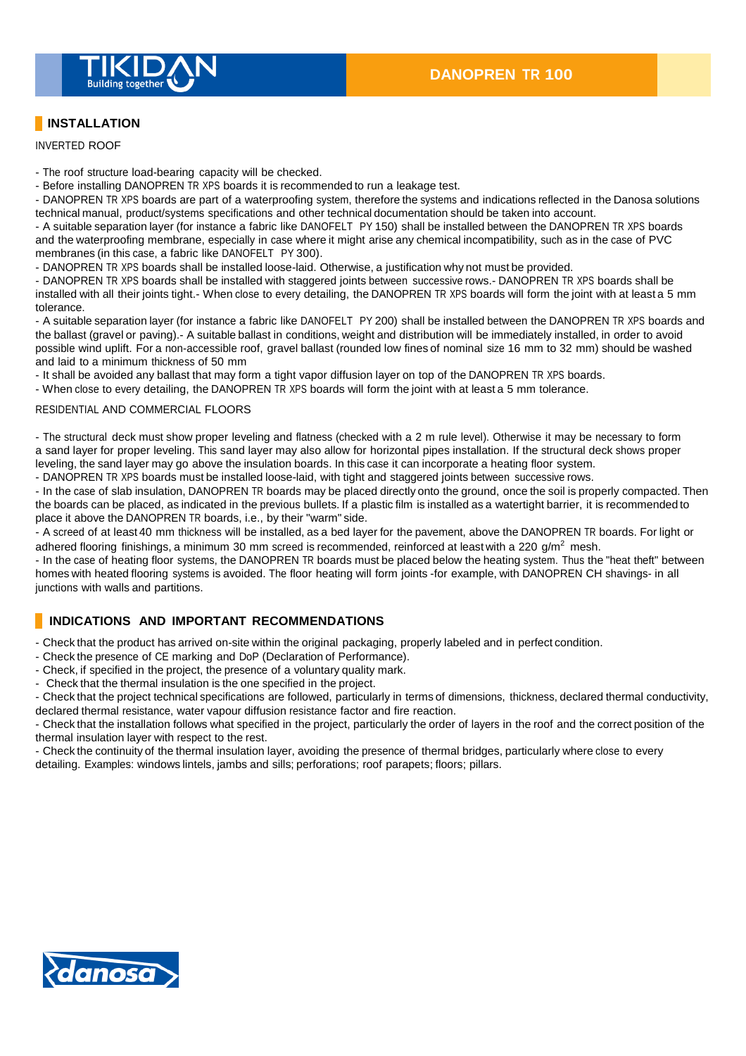

## **INSTALLATION**

INVERTED ROOF

- The roof structure load-bearing capacity will be checked.

- Before installing DANOPREN TR XPS boards it is recommended to run a leakage test.

- DANOPREN TR XPS boards are part of a waterproofing system, therefore the systems and indications reflected in the Danosa solutions technical manual, product/systems specifications and other technical documentation should be taken into account.

- A suitable separation layer (for instance a fabric like DANOFELT PY 150) shall be installed between the DANOPREN TR XPS boards and the waterproofing membrane, especially in case where it might arise any chemical incompatibility, such as in the case of PVC membranes (in this case, a fabric like DANOFELT PY 300).

- DANOPREN TR XPS boards shall be installed loose-laid. Otherwise, a justification why not must be provided.

- DANOPREN TR XPS boards shall be installed with staggered joints between successive rows.- DANOPREN TR XPS boards shall be installed with all their joints tight.- When close to every detailing, the DANOPREN TR XPS boards will form the joint with at least a 5 mm tolerance.

- A suitable separation layer (for instance a fabric like DANOFELT PY 200) shall be installed between the DANOPREN TR XPS boards and the ballast (gravel or paving).- A suitable ballast in conditions, weight and distribution will be immediately installed, in order to avoid possible wind uplift. For a non-accessible roof, gravel ballast (rounded low fines of nominal size 16 mm to 32 mm) should be washed and laid to a minimum thickness of 50 mm

- It shall be avoided any ballast that may form a tight vapor diffusion layer on top of the DANOPREN TR XPS boards.

- When close to every detailing, the DANOPREN TR XPS boards will form the joint with at least a 5 mm tolerance.

#### RESIDENTIAL AND COMMERCIAL FLOORS

- The structural deck must show proper leveling and flatness (checked with a 2 m rule level). Otherwise it may be necessary to form a sand layer for proper leveling. This sand layer may also allow for horizontal pipes installation. If the structural deck shows proper leveling, the sand layer may go above the insulation boards. In this case it can incorporate a heating floor system. - DANOPREN TR XPS boards must be installed loose-laid, with tight and staggered joints between successive rows.

- In the case of slab insulation, DANOPREN TR boards may be placed directly onto the ground, once the soil is properly compacted. Then

the boards can be placed, as indicated in the previous bullets. If a plastic film is installed as a watertight barrier, it is recommended to place it above the DANOPREN TR boards, i.e., by their "warm" side.

- A screed of at least 40 mm thickness will be installed, as a bed layer for the pavement, above the DANOPREN TR boards. For light or adhered flooring finishings, a minimum 30 mm screed is recommended, reinforced at least with a 220  $g/m^2$  mesh.

- In the case of heating floor systems, the DANOPREN TR boards must be placed below the heating system. Thus the "heat theft" between homes with heated flooring systems is avoided. The floor heating will form joints -for example, with DANOPREN CH shavings- in all junctions with walls and partitions.

#### **INDICATIONS AND IMPORTANT RECOMMENDATIONS**

- Check that the product has arrived on-site within the original packaging, properly labeled and in perfect condition.

- Check the presence of CE marking and DoP (Declaration of Performance).
- Check, if specified in the project, the presence of a voluntary quality mark.
- Check that the thermal insulation is the one specified in the project.

- Check that the project technical specifications are followed, particularly in terms of dimensions, thickness, declared thermal conductivity, declared thermal resistance, water vapour diffusion resistance factor and fire reaction.

- Check that the installation follows what specified in the project, particularly the order of layers in the roof and the correct position of the thermal insulation layer with respect to the rest.

- Check the continuity of the thermal insulation layer, avoiding the presence of thermal bridges, particularly where close to every detailing. Examples: windows lintels, jambs and sills; perforations; roof parapets; floors; pillars.